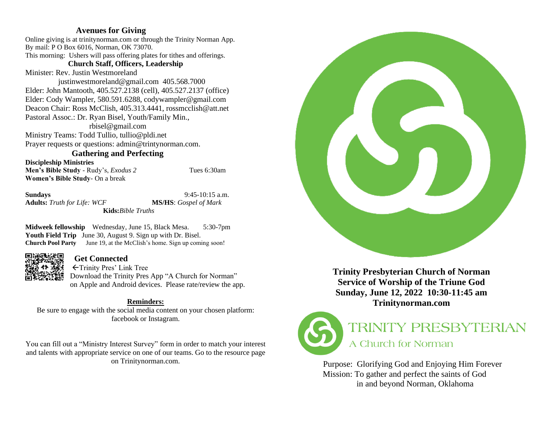# **Avenues for Giving**

Online giving is at trinitynorman.com or through the Trinity Norman App. By mail: P O Box 6016, Norman, OK 73070. This morning: Ushers will pass offering plates for tithes and offerings.

# **Church Staff, Officers, Leadership**

Minister: Rev. Justin Westmoreland

 justinwestmoreland@gmail.com 405.568.7000 Elder: John Mantooth, 405.527.2138 (cell), 405.527.2137 (office) Elder: Cody Wampler, 580.591.6288, codywampler@gmail.com Deacon Chair: Ross McClish, 405.313.4441, rossmcclish@att.net Pastoral Assoc.: Dr. Ryan Bisel, Youth/Family Min., rbisel@gmail.com

Ministry Teams: Todd Tullio, tullio@pldi.net Prayer requests or questions: admin@trintynorman.com.

# **Gathering and Perfecting**

**Discipleship Ministries Men's Bible Study** - Rudy's, *Exodus 2* Tues 6:30am **Women's Bible Study**- On a break

**Sundays** 9:45-10:15 a.m.

**Adults:** *Truth for Life: WCF* **MS/HS**: *Gospel of Mark* **Kids:***Bible Truths*

**Midweek fellowship** Wednesday, June 15, Black Mesa. 5:30-7pm Youth Field Trip June 30, August 9. Sign up with Dr. Bisel. **Church Pool Party** June 19, at the McClish's home. Sign up coming soon!



# **Get Connected**

Trinity Pres' Link Tree Download the Trinity Pres App "A Church for Norman" on Apple and Android devices. Please rate/review the app.

# **Reminders:**

Be sure to engage with the social media content on your chosen platform: facebook or Instagram.

You can fill out a "Ministry Interest Survey" form in order to match your interest and talents with appropriate service on one of our teams. Go to the resource page on Trinitynorman.com.



**Trinity Presbyterian Church of Norman Service of Worship of the Triune God Sunday, June 12, 2022 10:30-11:45 am Trinitynorman.com** 



# **TRINITY PRESBYTERIAN** A Church for Norman

Purpose: Glorifying God and Enjoying Him Forever Mission: To gather and perfect the saints of God in and beyond Norman, Oklahoma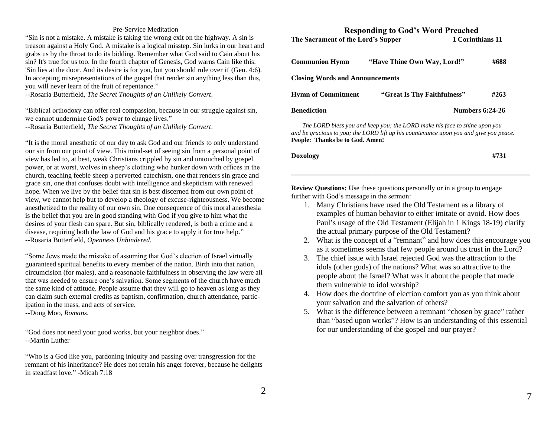### Pre-Service Meditation

"Sin is not a mistake. A mistake is taking the wrong exit on the highway. A sin is treason against a Holy God. A mistake is a logical misstep. Sin lurks in our heart and grabs us by the throat to do its bidding. Remember what God said to Cain about his sin? It's true for us too. In the fourth chapter of Genesis, God warns Cain like this: 'Sin lies at the door. And its desire is for you, but you should rule over it' (Gen. 4:6). In accepting misrepresentations of the gospel that render sin anything less than this, you will never learn of the fruit of repentance."

--Rosaria Butterfield, *The Secret Thoughts of an Unlikely Convert*.

"Biblical orthodoxy can offer real compassion, because in our struggle against sin, we cannot undermine God's power to change lives."

--Rosaria Butterfield, *The Secret Thoughts of an Unlikely Convert*.

"It is the moral anesthetic of our day to ask God and our friends to only understand our sin from our point of view. This mind-set of seeing sin from a personal point of view has led to, at best, weak Christians crippled by sin and untouched by gospel power, or at worst, wolves in sheep's clothing who hunker down with offices in the church, teaching feeble sheep a perverted catechism, one that renders sin grace and grace sin, one that confuses doubt with intelligence and skepticism with renewed hope. When we live by the belief that sin is best discerned from our own point of view, we cannot help but to develop a theology of excuse-righteousness. We become anesthetized to the reality of our own sin. One consequence of this moral anesthesia is the belief that you are in good standing with God if you give to him what the desires of your flesh can spare. But sin, biblically rendered, is both a crime and a disease, requiring both the law of God and his grace to apply it for true help." --Rosaria Butterfield, *Openness Unhindered.* 

"Some Jews made the mistake of assuming that God's election of Israel virtually guaranteed spiritual benefits to every member of the nation. Birth into that nation, circumcision (for males), and a reasonable faithfulness in observing the law were all that was needed to ensure one's salvation. Some segments of the church have much the same kind of attitude. People assume that they will go to heaven as long as they can claim such external credits as baptism, confirmation, church attendance, participation in the mass, and acts of service.

--Doug Moo, *Romans*.

"God does not need your good works, but your neighbor does." --Martin Luther

"Who is a God like you, pardoning iniquity and passing over transgression for the remnant of his inheritance? He does not retain his anger forever, because he delights in steadfast love." -Micah 7:18

# **Responding to God's Word Preached** The Sacrament of the Lord's Supper 1 Corinthians 11

| <b>Communion Hymn</b>                  | "Have Thine Own Way, Lord!" | #688                   |  |  |  |
|----------------------------------------|-----------------------------|------------------------|--|--|--|
| <b>Closing Words and Announcements</b> |                             |                        |  |  |  |
| <b>Hymn of Commitment</b>              | "Great Is Thy Faithfulness" | #263                   |  |  |  |
| Benediction                            |                             | <b>Numbers 6:24-26</b> |  |  |  |

 *The LORD bless you and keep you; the LORD make his face to shine upon you and be gracious to you; the LORD lift up his countenance upon you and give you peace.* **People:****Thanks be to God. Amen!**

| #731 |
|------|
|      |

**Review Questions:** Use these questions personally or in a group to engage further with God's message in the sermon:

1. Many Christians have used the Old Testament as a library of examples of human behavior to either imitate or avoid. How does Paul's usage of the Old Testament (Elijah in 1 Kings 18-19) clarify the actual primary purpose of the Old Testament?

**\_\_\_\_\_\_\_\_\_\_\_\_\_\_\_\_\_\_\_\_\_\_\_\_\_\_\_\_\_\_\_\_\_\_\_\_\_\_\_\_\_\_\_\_\_\_\_\_\_\_\_\_\_\_\_\_\_\_\_\_\_\_\_\_\_\_\_\_**

- 2. What is the concept of a "remnant" and how does this encourage you as it sometimes seems that few people around us trust in the Lord?
- 3. The chief issue with Israel rejected God was the attraction to the idols (other gods) of the nations? What was so attractive to the people about the Israel? What was it about the people that made them vulnerable to idol worship?
- 4. How does the doctrine of election comfort you as you think about your salvation and the salvation of others?
- 5. What is the difference between a remnant "chosen by grace" rather than "based upon works"? How is an understanding of this essential for our understanding of the gospel and our prayer?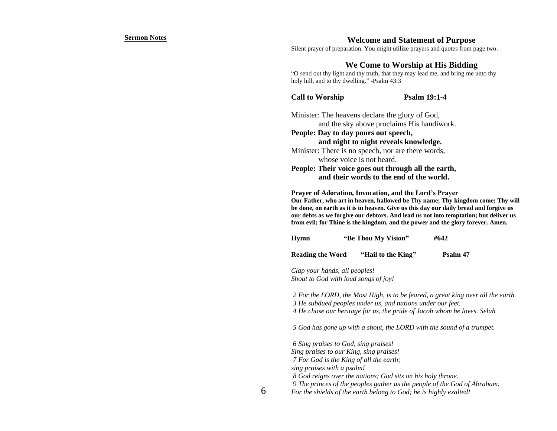#### **Sermon Notes**

## **Welcome and Statement of Purpose**

Silent prayer of preparation. You might utilize prayers and quotes from page two.

# **We Come to Worship at His Bidding**

"O send out thy light and thy truth, that they may lead me, and bring me unto thy holy hill, and to thy dwelling." -Psalm 43:3

**Call to Worship Psalm 19:1-4** 

Minister: The heavens declare the glory of God, and the sky above proclaims His handiwork. **People: Day to day pours out speech, and night to night reveals knowledge.** Minister: There is no speech, nor are there words, whose voice is not heard. **People: Their voice goes out through all the earth, and their words to the end of the world.**

**Prayer of Adoration, Invocation, and the Lord's Prayer Our Father, who art in heaven, hallowed be Thy name; Thy kingdom come; Thy will be done, on earth as it is in heaven. Give us this day our daily bread and forgive us our debts as we forgive our debtors. And lead us not into temptation; but deliver us from evil; for Thine is the kingdom, and the power and the glory forever. Amen.**

| <b>Hymn</b> | "Be Thou My Vision" | #642 |
|-------------|---------------------|------|
|-------------|---------------------|------|

**Reading the Word "Hail to the King" Psalm 47**

*Clap your hands, all peoples! Shout to God with loud songs of joy!*

*2 For the LORD, the Most High, is to be feared, a great king over all the earth. 3 He subdued peoples under us, and nations under our feet. 4 He chose our heritage for us, the pride of Jacob whom he loves. Selah*

*5 God has gone up with a shout, the LORD with the sound of a trumpet.*

*6 Sing praises to God, sing praises! Sing praises to our King, sing praises! 7 For God is the King of all the earth; sing praises with a psalm! 8 God reigns over the nations; God sits on his holy throne. 9 The princes of the peoples gather as the people of the God of Abraham. For the shields of the earth belong to God; he is highly exalted!* 

6